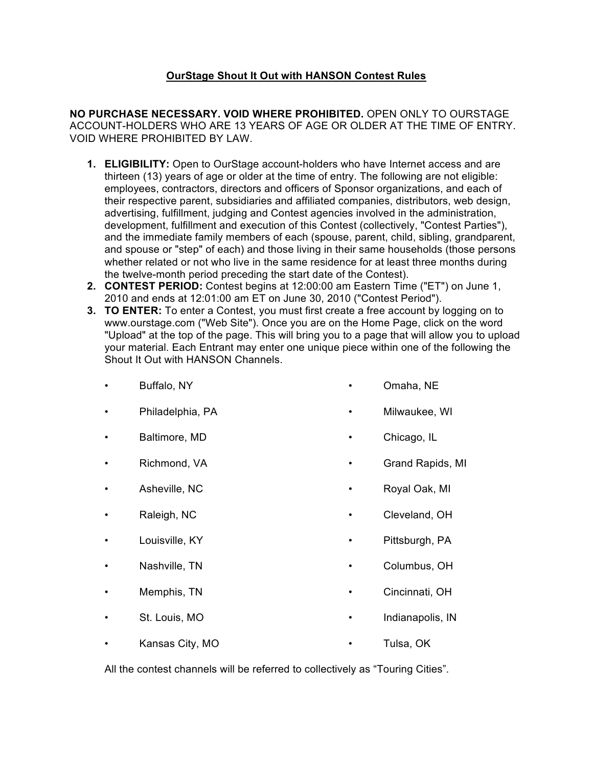# **OurStage Shout It Out with HANSON Contest Rules**

**NO PURCHASE NECESSARY. VOID WHERE PROHIBITED.** OPEN ONLY TO OURSTAGE ACCOUNT-HOLDERS WHO ARE 13 YEARS OF AGE OR OLDER AT THE TIME OF ENTRY. VOID WHERE PROHIBITED BY LAW.

- **1. ELIGIBILITY:** Open to OurStage account-holders who have Internet access and are thirteen (13) years of age or older at the time of entry. The following are not eligible: employees, contractors, directors and officers of Sponsor organizations, and each of their respective parent, subsidiaries and affiliated companies, distributors, web design, advertising, fulfillment, judging and Contest agencies involved in the administration, development, fulfillment and execution of this Contest (collectively, "Contest Parties"), and the immediate family members of each (spouse, parent, child, sibling, grandparent, and spouse or "step" of each) and those living in their same households (those persons whether related or not who live in the same residence for at least three months during the twelve-month period preceding the start date of the Contest).
- **2. CONTEST PERIOD:** Contest begins at 12:00:00 am Eastern Time ("ET") on June 1, 2010 and ends at 12:01:00 am ET on June 30, 2010 ("Contest Period").
- **3. TO ENTER:** To enter a Contest, you must first create a free account by logging on to www.ourstage.com ("Web Site"). Once you are on the Home Page, click on the word "Upload" at the top of the page. This will bring you to a page that will allow you to upload your material. Each Entrant may enter one unique piece within one of the following the Shout It Out with HANSON Channels.

Milwaukee, WI

• Cleveland, OH

|  | Buffalo, NY |  |  | Omaha, NE |  |
|--|-------------|--|--|-----------|--|
|--|-------------|--|--|-----------|--|

- Philadelphia, PA
- Baltimore, MD Chicago, IL
- Richmond, VA • Grand Rapids, MI
- Asheville, NC • Royal Oak, MI
- Raleigh, NC
- Louisville, KY • Pittsburgh, PA
- Nashville, TN • Columbus, OH
- Memphis, TN • Cincinnati, OH
- St. Louis, MO • Indianapolis, IN
- Kansas City, MO • Tulsa, OK

All the contest channels will be referred to collectively as "Touring Cities".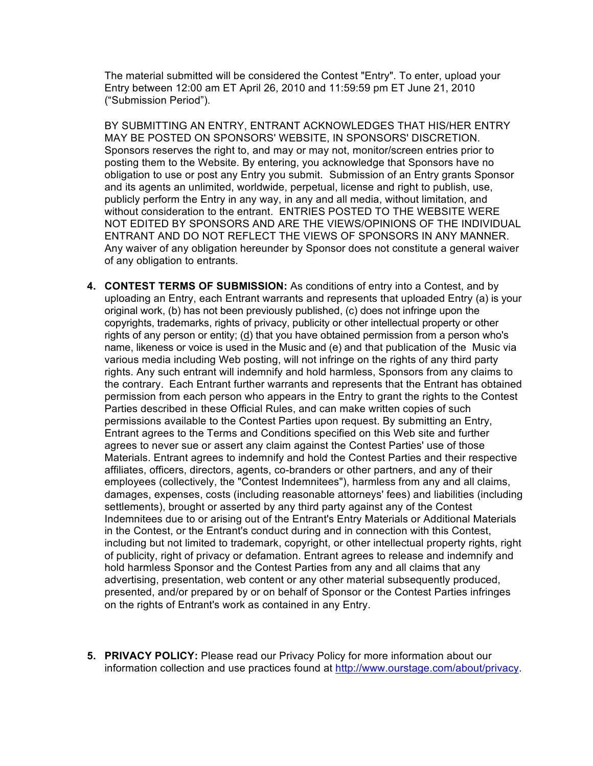The material submitted will be considered the Contest "Entry". To enter, upload your Entry between 12:00 am ET April 26, 2010 and 11:59:59 pm ET June 21, 2010 ("Submission Period").

BY SUBMITTING AN ENTRY, ENTRANT ACKNOWLEDGES THAT HIS/HER ENTRY MAY BE POSTED ON SPONSORS' WEBSITE, IN SPONSORS' DISCRETION. Sponsors reserves the right to, and may or may not, monitor/screen entries prior to posting them to the Website. By entering, you acknowledge that Sponsors have no obligation to use or post any Entry you submit. Submission of an Entry grants Sponsor and its agents an unlimited, worldwide, perpetual, license and right to publish, use, publicly perform the Entry in any way, in any and all media, without limitation, and without consideration to the entrant. ENTRIES POSTED TO THE WEBSITE WERE NOT EDITED BY SPONSORS AND ARE THE VIEWS/OPINIONS OF THE INDIVIDUAL ENTRANT AND DO NOT REFLECT THE VIEWS OF SPONSORS IN ANY MANNER. Any waiver of any obligation hereunder by Sponsor does not constitute a general waiver of any obligation to entrants.

- **4. CONTEST TERMS OF SUBMISSION:** As conditions of entry into a Contest, and by uploading an Entry, each Entrant warrants and represents that uploaded Entry (a) is your original work, (b) has not been previously published, (c) does not infringe upon the copyrights, trademarks, rights of privacy, publicity or other intellectual property or other rights of any person or entity; (d) that you have obtained permission from a person who's name, likeness or voice is used in the Music and (e) and that publication of the Music via various media including Web posting, will not infringe on the rights of any third party rights. Any such entrant will indemnify and hold harmless, Sponsors from any claims to the contrary. Each Entrant further warrants and represents that the Entrant has obtained permission from each person who appears in the Entry to grant the rights to the Contest Parties described in these Official Rules, and can make written copies of such permissions available to the Contest Parties upon request. By submitting an Entry, Entrant agrees to the Terms and Conditions specified on this Web site and further agrees to never sue or assert any claim against the Contest Parties' use of those Materials. Entrant agrees to indemnify and hold the Contest Parties and their respective affiliates, officers, directors, agents, co-branders or other partners, and any of their employees (collectively, the "Contest Indemnitees"), harmless from any and all claims, damages, expenses, costs (including reasonable attorneys' fees) and liabilities (including settlements), brought or asserted by any third party against any of the Contest Indemnitees due to or arising out of the Entrant's Entry Materials or Additional Materials in the Contest, or the Entrant's conduct during and in connection with this Contest, including but not limited to trademark, copyright, or other intellectual property rights, right of publicity, right of privacy or defamation. Entrant agrees to release and indemnify and hold harmless Sponsor and the Contest Parties from any and all claims that any advertising, presentation, web content or any other material subsequently produced, presented, and/or prepared by or on behalf of Sponsor or the Contest Parties infringes on the rights of Entrant's work as contained in any Entry.
- **5. PRIVACY POLICY:** Please read our Privacy Policy for more information about our information collection and use practices found at http://www.ourstage.com/about/privacy.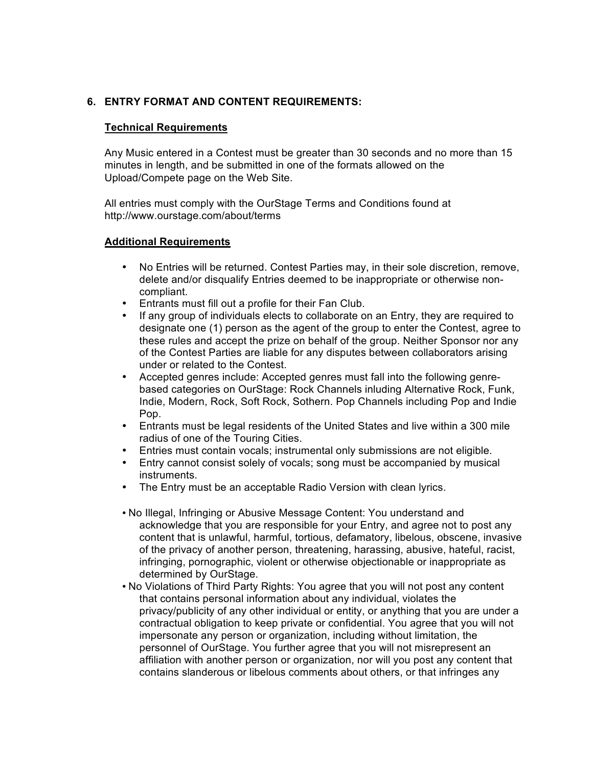## **6. ENTRY FORMAT AND CONTENT REQUIREMENTS:**

#### **Technical Requirements**

Any Music entered in a Contest must be greater than 30 seconds and no more than 15 minutes in length, and be submitted in one of the formats allowed on the Upload/Compete page on the Web Site.

All entries must comply with the OurStage Terms and Conditions found at http://www.ourstage.com/about/terms

#### **Additional Requirements**

- No Entries will be returned. Contest Parties may, in their sole discretion, remove, delete and/or disqualify Entries deemed to be inappropriate or otherwise noncompliant.
- Entrants must fill out a profile for their Fan Club.<br>• If any group of individuals elects to collaborate of
- If any group of individuals elects to collaborate on an Entry, they are required to designate one (1) person as the agent of the group to enter the Contest, agree to these rules and accept the prize on behalf of the group. Neither Sponsor nor any of the Contest Parties are liable for any disputes between collaborators arising under or related to the Contest.
- Accepted genres include: Accepted genres must fall into the following genrebased categories on OurStage: Rock Channels inluding Alternative Rock, Funk, Indie, Modern, Rock, Soft Rock, Sothern. Pop Channels including Pop and Indie Pop.
- Entrants must be legal residents of the United States and live within a 300 mile radius of one of the Touring Cities.
- Entries must contain vocals; instrumental only submissions are not eligible.
- Entry cannot consist solely of vocals; song must be accompanied by musical instruments.
- The Entry must be an acceptable Radio Version with clean lyrics.
- No Illegal, Infringing or Abusive Message Content: You understand and acknowledge that you are responsible for your Entry, and agree not to post any content that is unlawful, harmful, tortious, defamatory, libelous, obscene, invasive of the privacy of another person, threatening, harassing, abusive, hateful, racist, infringing, pornographic, violent or otherwise objectionable or inappropriate as determined by OurStage.
- No Violations of Third Party Rights: You agree that you will not post any content that contains personal information about any individual, violates the privacy/publicity of any other individual or entity, or anything that you are under a contractual obligation to keep private or confidential. You agree that you will not impersonate any person or organization, including without limitation, the personnel of OurStage. You further agree that you will not misrepresent an affiliation with another person or organization, nor will you post any content that contains slanderous or libelous comments about others, or that infringes any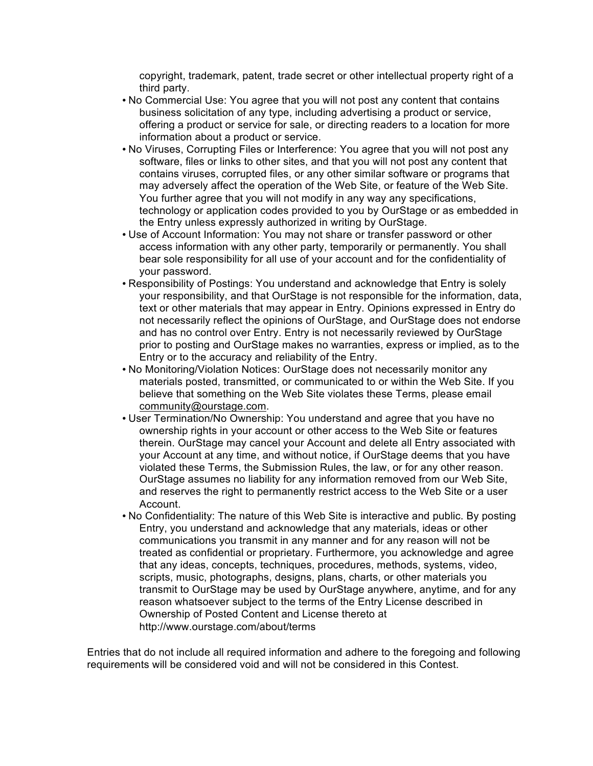copyright, trademark, patent, trade secret or other intellectual property right of a third party.

- No Commercial Use: You agree that you will not post any content that contains business solicitation of any type, including advertising a product or service, offering a product or service for sale, or directing readers to a location for more information about a product or service.
- No Viruses, Corrupting Files or Interference: You agree that you will not post any software, files or links to other sites, and that you will not post any content that contains viruses, corrupted files, or any other similar software or programs that may adversely affect the operation of the Web Site, or feature of the Web Site. You further agree that you will not modify in any way any specifications, technology or application codes provided to you by OurStage or as embedded in the Entry unless expressly authorized in writing by OurStage.
- Use of Account Information: You may not share or transfer password or other access information with any other party, temporarily or permanently. You shall bear sole responsibility for all use of your account and for the confidentiality of your password.
- Responsibility of Postings: You understand and acknowledge that Entry is solely your responsibility, and that OurStage is not responsible for the information, data, text or other materials that may appear in Entry. Opinions expressed in Entry do not necessarily reflect the opinions of OurStage, and OurStage does not endorse and has no control over Entry. Entry is not necessarily reviewed by OurStage prior to posting and OurStage makes no warranties, express or implied, as to the Entry or to the accuracy and reliability of the Entry.
- No Monitoring/Violation Notices: OurStage does not necessarily monitor any materials posted, transmitted, or communicated to or within the Web Site. If you believe that something on the Web Site violates these Terms, please email community@ourstage.com.
- User Termination/No Ownership: You understand and agree that you have no ownership rights in your account or other access to the Web Site or features therein. OurStage may cancel your Account and delete all Entry associated with your Account at any time, and without notice, if OurStage deems that you have violated these Terms, the Submission Rules, the law, or for any other reason. OurStage assumes no liability for any information removed from our Web Site, and reserves the right to permanently restrict access to the Web Site or a user Account.
- No Confidentiality: The nature of this Web Site is interactive and public. By posting Entry, you understand and acknowledge that any materials, ideas or other communications you transmit in any manner and for any reason will not be treated as confidential or proprietary. Furthermore, you acknowledge and agree that any ideas, concepts, techniques, procedures, methods, systems, video, scripts, music, photographs, designs, plans, charts, or other materials you transmit to OurStage may be used by OurStage anywhere, anytime, and for any reason whatsoever subject to the terms of the Entry License described in Ownership of Posted Content and License thereto at http://www.ourstage.com/about/terms

Entries that do not include all required information and adhere to the foregoing and following requirements will be considered void and will not be considered in this Contest.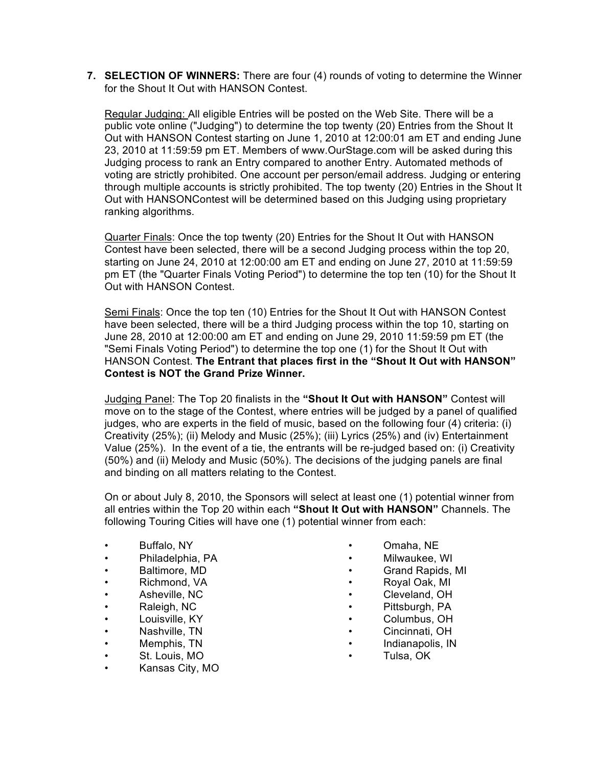**7. SELECTION OF WINNERS:** There are four (4) rounds of voting to determine the Winner for the Shout It Out with HANSON Contest.

Regular Judging: All eligible Entries will be posted on the Web Site. There will be a public vote online ("Judging") to determine the top twenty (20) Entries from the Shout It Out with HANSON Contest starting on June 1, 2010 at 12:00:01 am ET and ending June 23, 2010 at 11:59:59 pm ET. Members of www.OurStage.com will be asked during this Judging process to rank an Entry compared to another Entry. Automated methods of voting are strictly prohibited. One account per person/email address. Judging or entering through multiple accounts is strictly prohibited. The top twenty (20) Entries in the Shout It Out with HANSONContest will be determined based on this Judging using proprietary ranking algorithms.

Quarter Finals: Once the top twenty (20) Entries for the Shout It Out with HANSON Contest have been selected, there will be a second Judging process within the top 20, starting on June 24, 2010 at 12:00:00 am ET and ending on June 27, 2010 at 11:59:59 pm ET (the "Quarter Finals Voting Period") to determine the top ten (10) for the Shout It Out with HANSON Contest.

Semi Finals: Once the top ten (10) Entries for the Shout It Out with HANSON Contest have been selected, there will be a third Judging process within the top 10, starting on June 28, 2010 at 12:00:00 am ET and ending on June 29, 2010 11:59:59 pm ET (the "Semi Finals Voting Period") to determine the top one (1) for the Shout It Out with HANSON Contest. **The Entrant that places first in the "Shout It Out with HANSON" Contest is NOT the Grand Prize Winner.**

Judging Panel: The Top 20 finalists in the **"Shout It Out with HANSON"** Contest will move on to the stage of the Contest, where entries will be judged by a panel of qualified judges, who are experts in the field of music, based on the following four (4) criteria: (i) Creativity (25%); (ii) Melody and Music (25%); (iii) Lyrics (25%) and (iv) Entertainment Value (25%). In the event of a tie, the entrants will be re-judged based on: (i) Creativity (50%) and (ii) Melody and Music (50%). The decisions of the judging panels are final and binding on all matters relating to the Contest.

On or about July 8, 2010, the Sponsors will select at least one (1) potential winner from all entries within the Top 20 within each **"Shout It Out with HANSON"** Channels. The following Touring Cities will have one (1) potential winner from each:

- Buffalo, NY
- Philadelphia, PA
- Baltimore, MD
- Richmond, VA
- Asheville, NC
- Raleigh, NC
- Louisville, KY
- Nashville, TN
- Memphis, TN
- St. Louis, MO
- Kansas City, MO
- Omaha, NE
- Milwaukee, WI
	- Grand Rapids, MI
- Royal Oak, MI
- Cleveland, OH
- Pittsburgh, PA
- Columbus, OH
	- Cincinnati, OH
- Indianapolis, IN
- Tulsa, OK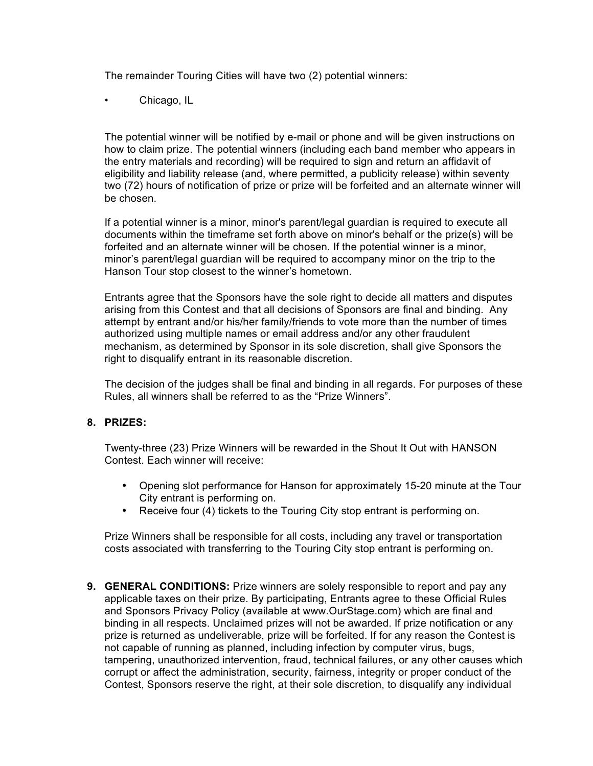The remainder Touring Cities will have two (2) potential winners:

• Chicago, IL

The potential winner will be notified by e-mail or phone and will be given instructions on how to claim prize. The potential winners (including each band member who appears in the entry materials and recording) will be required to sign and return an affidavit of eligibility and liability release (and, where permitted, a publicity release) within seventy two (72) hours of notification of prize or prize will be forfeited and an alternate winner will be chosen.

If a potential winner is a minor, minor's parent/legal guardian is required to execute all documents within the timeframe set forth above on minor's behalf or the prize(s) will be forfeited and an alternate winner will be chosen. If the potential winner is a minor, minor's parent/legal guardian will be required to accompany minor on the trip to the Hanson Tour stop closest to the winner's hometown.

Entrants agree that the Sponsors have the sole right to decide all matters and disputes arising from this Contest and that all decisions of Sponsors are final and binding. Any attempt by entrant and/or his/her family/friends to vote more than the number of times authorized using multiple names or email address and/or any other fraudulent mechanism, as determined by Sponsor in its sole discretion, shall give Sponsors the right to disqualify entrant in its reasonable discretion.

The decision of the judges shall be final and binding in all regards. For purposes of these Rules, all winners shall be referred to as the "Prize Winners".

### **8. PRIZES:**

Twenty-three (23) Prize Winners will be rewarded in the Shout It Out with HANSON Contest. Each winner will receive:

- Opening slot performance for Hanson for approximately 15-20 minute at the Tour City entrant is performing on.
- Receive four (4) tickets to the Touring City stop entrant is performing on.

Prize Winners shall be responsible for all costs, including any travel or transportation costs associated with transferring to the Touring City stop entrant is performing on.

**9. GENERAL CONDITIONS:** Prize winners are solely responsible to report and pay any applicable taxes on their prize. By participating, Entrants agree to these Official Rules and Sponsors Privacy Policy (available at www.OurStage.com) which are final and binding in all respects. Unclaimed prizes will not be awarded. If prize notification or any prize is returned as undeliverable, prize will be forfeited. If for any reason the Contest is not capable of running as planned, including infection by computer virus, bugs, tampering, unauthorized intervention, fraud, technical failures, or any other causes which corrupt or affect the administration, security, fairness, integrity or proper conduct of the Contest, Sponsors reserve the right, at their sole discretion, to disqualify any individual